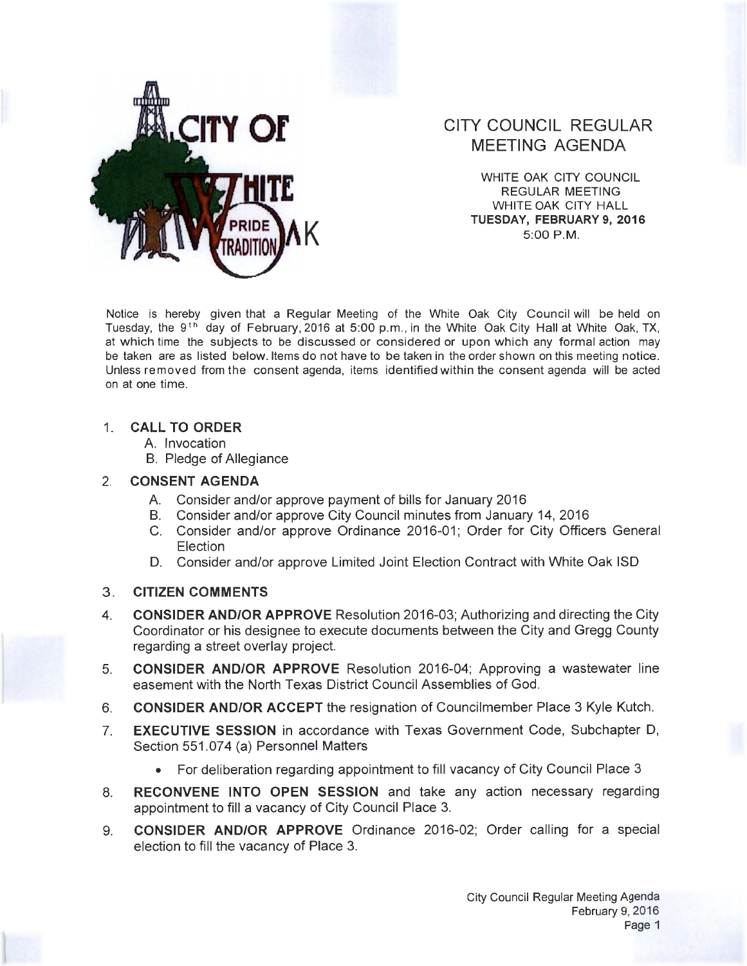

# **CITY COUNCIL REGULAR** MEETING AGENDA

WHITE OAK CITY COUNCIL REGULAR MEETING WHITE OAK CITY HALL TUESDAY, FEBRUARY 9, 2016<br>5:00 P.M.

Notice is hereby given that a Regular Meeting of the White Oak City Council will be held on Tuesday, the 9<sup>th</sup> day of February, 2016 at 5:00 p.m., in the White Oak City Hall at White Oak, TX, at which time the subjects to be discussed or considered or upon which any formal action may be taken are as listed below. ltems do not have to be taken in the order shown on this meeting notice. Unless removed from the consent agenda, items identified within the consent agenda will be acted on at one time.

### 1. CALL TO ORDER

- A. Invocation
- B. Pledge of Allegiance

#### 2. CONSENT AGENDA

- A. Consider and/or approve payment of bills for January 2016
- B. Consider and/or approve City Council minutes from January 14, 2016
- C. Consider and/or approve Ordinance 2016-01; Order for City Officers General Election
- D. Consider and/or approve Limited Joint Election Contract with White Oak lSD

### 3. CITIZEN COMMENTS

- 4. CONSIDER AND/OR APPROVE Resolution 2016-03; Authorizing and directing the City Coordinator or his designee to execute documents between the City and Gregg County regarding a street overlay project.
- 5. CONSIDER AND/OR APPROVE Resolution 2016-04; Approving a wastewater line easement with the North Texas District Council Assemblies of God.
- 6. CONSIDER AND/OR ACCEPT the resignation of Councilmember Place 3 Kyle Kutch.
- 7. EXECUTIVE SESSION in accordance with Texas Government Code, Subchapter D, Section 551 .074 (a) Personnel Matters
	- For deliberation regarding appointment to fill vacancy of City Council Place 3
- 8. RECONVENE INTO OPEN SESSION and take any action necessary regarding appointment to fill a vacancy of City Council Place 3.
- 9. CONSIDER AND/OR APPROVE Ordinance 2016-02; Order calling for a special election to fill the vacancy of Place 3.